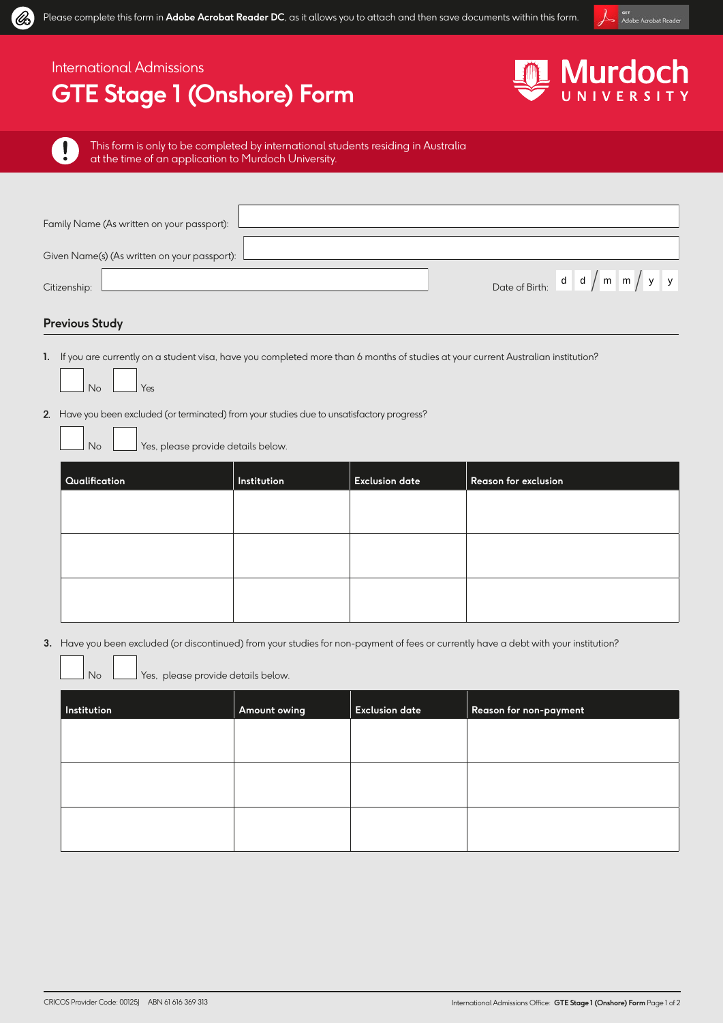

### International Admissions

## **GTE Stage 1 (Onshore) Form**



Ţ

UE

This form is only to be completed by international students residing in Australia at the time of an application to Murdoch University.

| Family Name (As written on your passport):   |                                                       |
|----------------------------------------------|-------------------------------------------------------|
| Given Name(s) (As written on your passport): |                                                       |
| Citizenship:                                 | Date of Birth: $d \mid d \mid m \mid m \mid y \mid y$ |
| - - - -                                      |                                                       |

#### **Previous Study**

- **1.** If you are currently on a student visa, have you completed more than 6 months of studies at your current Australian institution?
	- No Yes
- 2. Have you been excluded (or terminated) from your studies due to unsatisfactory progress?

No Yes, please provide details below.

| Qualification | Institution | <b>Exclusion date</b> | Reason for exclusion |
|---------------|-------------|-----------------------|----------------------|
|               |             |                       |                      |
|               |             |                       |                      |
|               |             |                       |                      |
|               |             |                       |                      |
|               |             |                       |                      |

**3.** Have you been excluded (or discontinued) from your studies for non-payment of fees or currently have a debt with your institution?

No  $\Box$  Yes, please provide details below.

| Institution | Amount owing | <b>Exclusion date</b> | Reason for non-payment |
|-------------|--------------|-----------------------|------------------------|
|             |              |                       |                        |
|             |              |                       |                        |
|             |              |                       |                        |
|             |              |                       |                        |
|             |              |                       |                        |
|             |              |                       |                        |